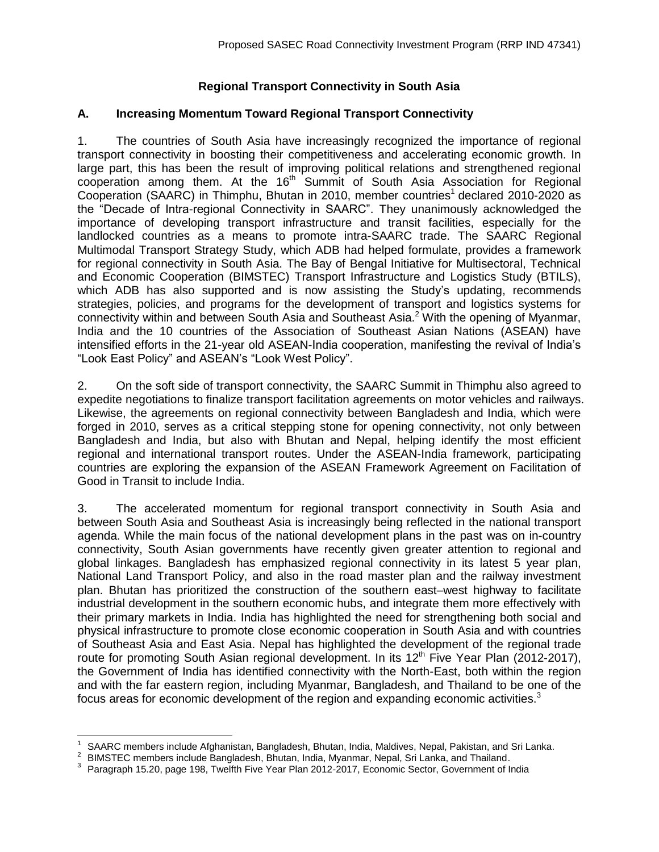## **Regional Transport Connectivity in South Asia**

## **A. Increasing Momentum Toward Regional Transport Connectivity**

1. The countries of South Asia have increasingly recognized the importance of regional transport connectivity in boosting their competitiveness and accelerating economic growth. In large part, this has been the result of improving political relations and strengthened regional cooperation among them. At the 16<sup>th</sup> Summit of South Asia Association for Regional Cooperation (SAARC) in Thimphu, Bhutan in 2010, member countries<sup>1</sup> declared 2010-2020 as the "Decade of Intra-regional Connectivity in SAARC". They unanimously acknowledged the importance of developing transport infrastructure and transit facilities, especially for the landlocked countries as a means to promote intra-SAARC trade. The SAARC Regional Multimodal Transport Strategy Study, which ADB had helped formulate, provides a framework for regional connectivity in South Asia. The Bay of Bengal Initiative for Multisectoral, Technical and Economic Cooperation (BIMSTEC) Transport Infrastructure and Logistics Study (BTILS), which ADB has also supported and is now assisting the Study's updating, recommends strategies, policies, and programs for the development of transport and logistics systems for connectivity within and between South Asia and Southeast Asia.<sup>2</sup> With the opening of Myanmar, India and the 10 countries of the Association of Southeast Asian Nations (ASEAN) have intensified efforts in the 21-year old ASEAN-India cooperation, manifesting the revival of India's "Look East Policy" and ASEAN's "Look West Policy".

2. On the soft side of transport connectivity, the SAARC Summit in Thimphu also agreed to expedite negotiations to finalize transport facilitation agreements on motor vehicles and railways. Likewise, the agreements on regional connectivity between Bangladesh and India, which were forged in 2010, serves as a critical stepping stone for opening connectivity, not only between Bangladesh and India, but also with Bhutan and Nepal, helping identify the most efficient regional and international transport routes. Under the ASEAN-India framework, participating countries are exploring the expansion of the ASEAN Framework Agreement on Facilitation of Good in Transit to include India.

3. The accelerated momentum for regional transport connectivity in South Asia and between South Asia and Southeast Asia is increasingly being reflected in the national transport agenda. While the main focus of the national development plans in the past was on in-country connectivity, South Asian governments have recently given greater attention to regional and global linkages. Bangladesh has emphasized regional connectivity in its latest 5 year plan, National Land Transport Policy, and also in the road master plan and the railway investment plan. Bhutan has prioritized the construction of the southern east–west highway to facilitate industrial development in the southern economic hubs, and integrate them more effectively with their primary markets in India. India has highlighted the need for strengthening both social and physical infrastructure to promote close economic cooperation in South Asia and with countries of Southeast Asia and East Asia. Nepal has highlighted the development of the regional trade route for promoting South Asian regional development. In its 12<sup>th</sup> Five Year Plan (2012-2017), the Government of India has identified connectivity with the North-East, both within the region and with the far eastern region, including Myanmar, Bangladesh, and Thailand to be one of the focus areas for economic development of the region and expanding economic activities.<sup>3</sup>

<sup>1</sup> SAARC members include Afghanistan, Bangladesh, Bhutan, India, Maldives, Nepal, Pakistan, and Sri Lanka.

<sup>2</sup> BIMSTEC members include Bangladesh, Bhutan, India, Myanmar, Nepal, Sri Lanka, and Thailand.

<sup>3</sup> Paragraph 15.20, page 198, Twelfth Five Year Plan 2012-2017, Economic Sector, Government of India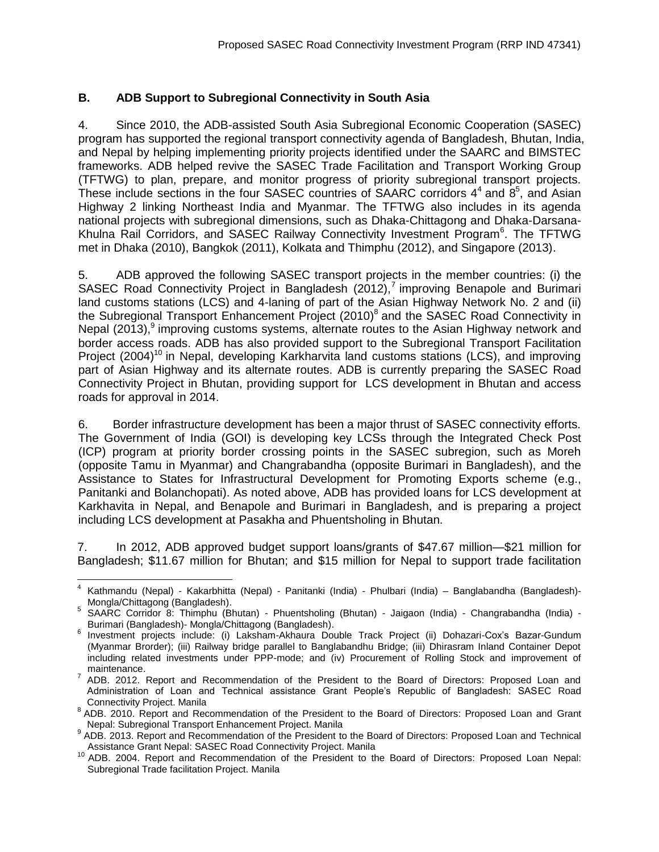## **B. ADB Support to Subregional Connectivity in South Asia**

4. Since 2010, the ADB-assisted South Asia Subregional Economic Cooperation (SASEC) program has supported the regional transport connectivity agenda of Bangladesh, Bhutan, India, and Nepal by helping implementing priority projects identified under the SAARC and BIMSTEC frameworks. ADB helped revive the SASEC Trade Facilitation and Transport Working Group (TFTWG) to plan, prepare, and monitor progress of priority subregional transport projects. These include sections in the four SASEC countries of SAARC corridors  $4^4$  and  $8^5$ , and Asian Highway 2 linking Northeast India and Myanmar. The TFTWG also includes in its agenda national projects with subregional dimensions, such as Dhaka-Chittagong and Dhaka-Darsana-Khulna Rail Corridors, and SASEC Railway Connectivity Investment Program<sup>6</sup>. The TFTWG met in Dhaka (2010), Bangkok (2011), Kolkata and Thimphu (2012), and Singapore (2013).

5. ADB approved the following SASEC transport projects in the member countries: (i) the SASEC Road Connectivity Project in Bangladesh  $(2012),$ <sup>7</sup> improving Benapole and Burimari land customs stations (LCS) and 4-laning of part of the Asian Highway Network No. 2 and (ii) the Subregional Transport Enhancement Project (2010)<sup>8</sup> and the SASEC Road Connectivity in Nepal (2013),<sup>9</sup> improving customs systems, alternate routes to the Asian Highway network and border access roads. ADB has also provided support to the Subregional Transport Facilitation Project (2004)<sup>10</sup> in Nepal, developing Karkharvita land customs stations (LCS), and improving part of Asian Highway and its alternate routes. ADB is currently preparing the SASEC Road Connectivity Project in Bhutan, providing support for LCS development in Bhutan and access roads for approval in 2014.

6. Border infrastructure development has been a major thrust of SASEC connectivity efforts. The Government of India (GOI) is developing key LCSs through the Integrated Check Post (ICP) program at priority border crossing points in the SASEC subregion, such as Moreh (opposite Tamu in Myanmar) and Changrabandha (opposite Burimari in Bangladesh), and the Assistance to States for Infrastructural Development for Promoting Exports scheme (e.g., Panitanki and Bolanchopati). As noted above, ADB has provided loans for LCS development at Karkhavita in Nepal, and Benapole and Burimari in Bangladesh, and is preparing a project including LCS development at Pasakha and Phuentsholing in Bhutan.

7. In 2012, ADB approved budget support loans/grants of \$47.67 million—\$21 million for Bangladesh; \$11.67 million for Bhutan; and \$15 million for Nepal to support trade facilitation

<sup>4</sup> Kathmandu (Nepal) - Kakarbhitta (Nepal) - Panitanki (India) - Phulbari (India) – Banglabandha (Bangladesh)- Mongla/Chittagong (Bangladesh).

<sup>&</sup>lt;sup>5</sup> SAARC Corridor 8: Thimphu (Bhutan) - Phuentsholing (Bhutan) - Jaigaon (India) - Changrabandha (India) -Burimari (Bangladesh)- Mongla/Chittagong (Bangladesh).

<sup>&</sup>lt;sup>6</sup> Investment projects include: (i) Laksham-Akhaura Double Track Project (ii) Dohazari-Cox's Bazar-Gundum (Myanmar Brorder); (iii) Railway bridge parallel to Banglabandhu Bridge; (iii) Dhirasram Inland Container Depot including related investments under PPP-mode; and (iv) Procurement of Rolling Stock and improvement of maintenance.

 $7$  ADB. 2012. Report and Recommendation of the President to the Board of Directors: Proposed Loan and Administration of Loan and Technical assistance Grant People's Republic of Bangladesh: SASEC Road Connectivity Project. Manila

<sup>&</sup>lt;sup>8</sup> ADB. 2010. Report and Recommendation of the President to the Board of Directors: Proposed Loan and Grant Nepal: Subregional Transport Enhancement Project. Manila

<sup>&</sup>lt;sup>9</sup> ADB. 2013. Report and Recommendation of the President to the Board of Directors: Proposed Loan and Technical Assistance Grant Nepal: SASEC Road Connectivity Project. Manila

<sup>10</sup> ADB. 2004. Report and Recommendation of the President to the Board of Directors: Proposed Loan Nepal: Subregional Trade facilitation Project. Manila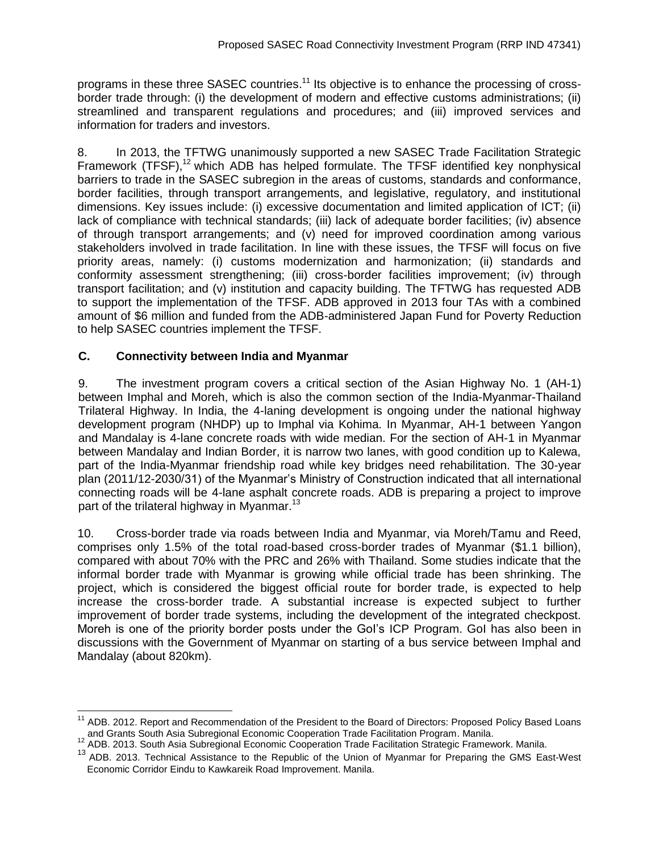programs in these three SASEC countries.<sup>11</sup> Its objective is to enhance the processing of crossborder trade through: (i) the development of modern and effective customs administrations; (ii) streamlined and transparent regulations and procedures; and (iii) improved services and information for traders and investors.

8. In 2013, the TFTWG unanimously supported a new SASEC Trade Facilitation Strategic Framework (TFSF),<sup>12</sup> which ADB has helped formulate. The TFSF identified key nonphysical barriers to trade in the SASEC subregion in the areas of customs, standards and conformance, border facilities, through transport arrangements, and legislative, regulatory, and institutional dimensions. Key issues include: (i) excessive documentation and limited application of ICT; (ii) lack of compliance with technical standards; (iii) lack of adequate border facilities; (iv) absence of through transport arrangements; and (v) need for improved coordination among various stakeholders involved in trade facilitation. In line with these issues, the TFSF will focus on five priority areas, namely: (i) customs modernization and harmonization; (ii) standards and conformity assessment strengthening; (iii) cross-border facilities improvement; (iv) through transport facilitation; and (v) institution and capacity building. The TFTWG has requested ADB to support the implementation of the TFSF. ADB approved in 2013 four TAs with a combined amount of \$6 million and funded from the ADB-administered Japan Fund for Poverty Reduction to help SASEC countries implement the TFSF.

## **C. Connectivity between India and Myanmar**

9. The investment program covers a critical section of the Asian Highway No. 1 (AH-1) between Imphal and Moreh, which is also the common section of the India-Myanmar-Thailand Trilateral Highway. In India, the 4-laning development is ongoing under the national highway development program (NHDP) up to Imphal via Kohima. In Myanmar, AH-1 between Yangon and Mandalay is 4-lane concrete roads with wide median. For the section of AH-1 in Myanmar between Mandalay and Indian Border, it is narrow two lanes, with good condition up to Kalewa, part of the India-Myanmar friendship road while key bridges need rehabilitation. The 30-year plan (2011/12-2030/31) of the Myanmar's Ministry of Construction indicated that all international connecting roads will be 4-lane asphalt concrete roads. ADB is preparing a project to improve part of the trilateral highway in Myanmar.<sup>13</sup>

10. Cross-border trade via roads between India and Myanmar, via Moreh/Tamu and Reed, comprises only 1.5% of the total road-based cross-border trades of Myanmar (\$1.1 billion), compared with about 70% with the PRC and 26% with Thailand. Some studies indicate that the informal border trade with Myanmar is growing while official trade has been shrinking. The project, which is considered the biggest official route for border trade, is expected to help increase the cross-border trade. A substantial increase is expected subject to further improvement of border trade systems, including the development of the integrated checkpost. Moreh is one of the priority border posts under the GoI's ICP Program. GoI has also been in discussions with the Government of Myanmar on starting of a bus service between Imphal and Mandalay (about 820km).

 $\overline{a}$ <sup>11</sup> ADB. 2012. Report and Recommendation of the President to the Board of Directors: Proposed Policy Based Loans and Grants South Asia Subregional Economic Cooperation Trade Facilitation Program. Manila.

<sup>12</sup> ADB. 2013. South Asia Subregional Economic Cooperation Trade Facilitation Strategic Framework. Manila.

<sup>13</sup> ADB. 2013. Technical Assistance to the Republic of the Union of Myanmar for Preparing the GMS East-West Economic Corridor Eindu to Kawkareik Road Improvement. Manila.